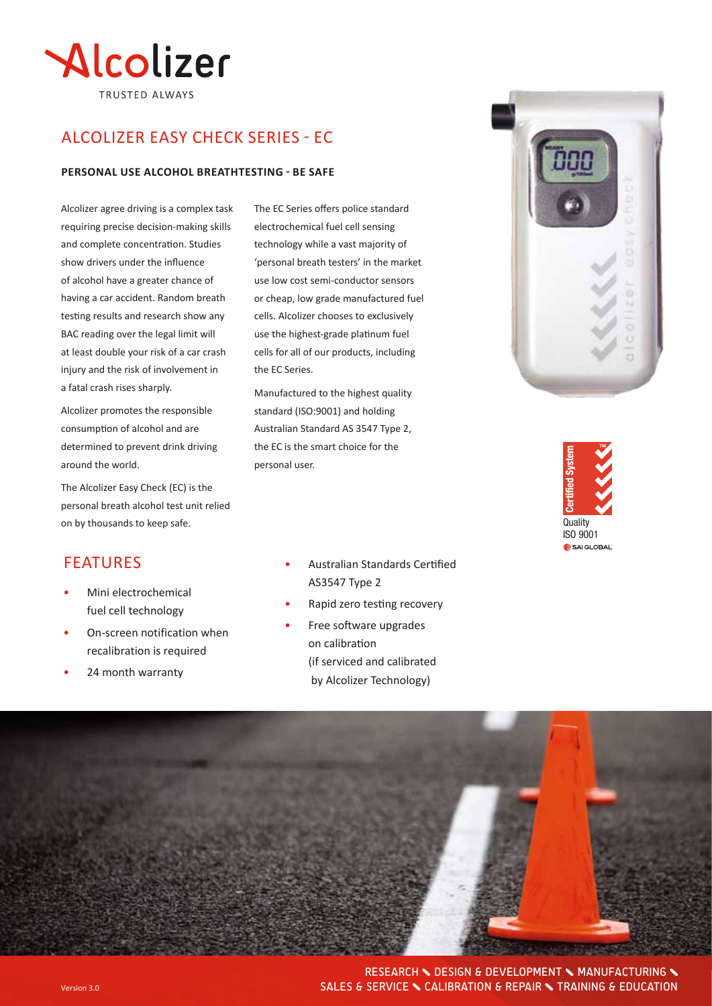

# ALCOLIZER EASY CHECK SERIES - Ec

#### **PERSONAL USE ALCOHOL BREATHTESTING - BE SAFE**

Alcolizer agree driving is a complex task requiring precise decision-making skills and complete concentration. Studies show drivers under the influence of alcohol have a greater chance of having a car accident. Random breath testing results and research show any BAC reading over the legal limit will at least double your risk of a car crash injury and the risk of involvement in a fatal crash rises sharply.

Alcolizer promotes the responsible consumption of alcohol and are determined to prevent drink driving around the world.

The Alcolizer Easy Check (EC) is the personal breath alcohol test unit relied on by thousands to keep safe.

#### **FEATURES**

- Mini electrochemical fuel cell technology
- On-screen notification when recalibration is required
- 24 month warranty

The EC Series offers police standard electrochemical fuel cell sensing technology while a vast majority of 'personal breath testers' in the market use low cost semi-conductor sensors or cheap, low grade manufactured fuel cells. Alcolizer chooses to exclusively use the highest-grade platinum fuel cells for all of our products, including the EC Series.

Manufactured to the highest quality standard (ISO:9001) and holding Australian Standard AS 3547 Type 2, the EC is the smart choice for the personal user.

- Australian Standards Certified AS3547 Type 2
- Rapid zero testing recovery
- Free software upgrades on calibration (if serviced and calibrated by Alcolizer Technology)